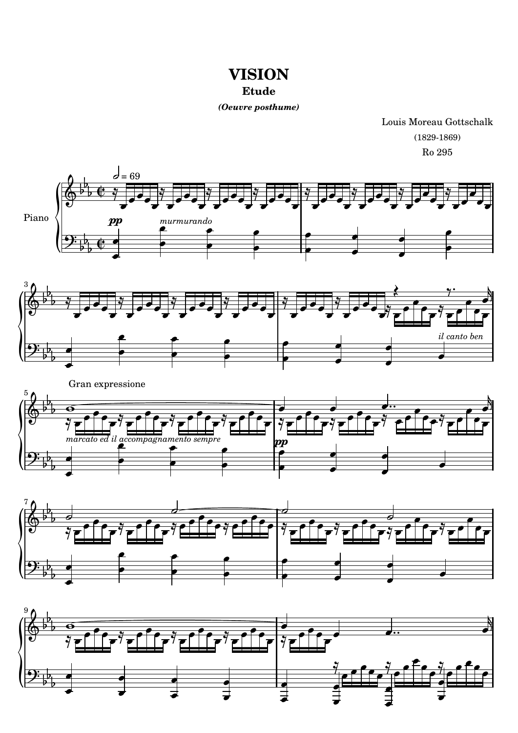## **VISION**

**Etude**

*(Oeuvre posthume)*

Ro 295 (1829-1869) Louis Moreau Gottschalk









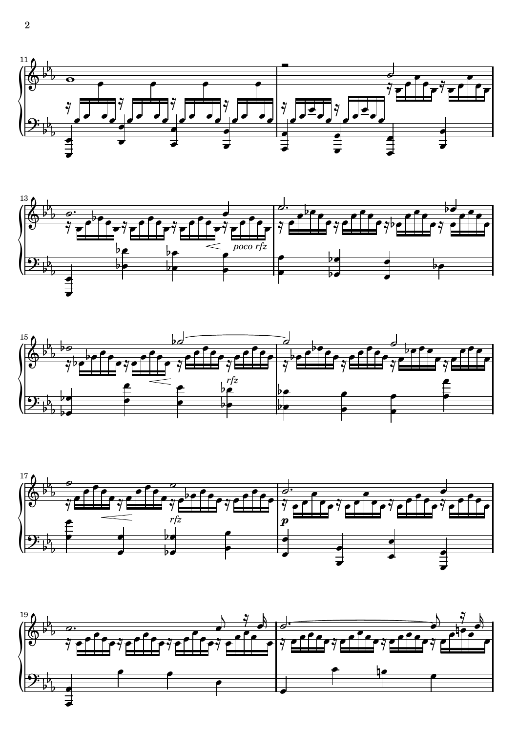







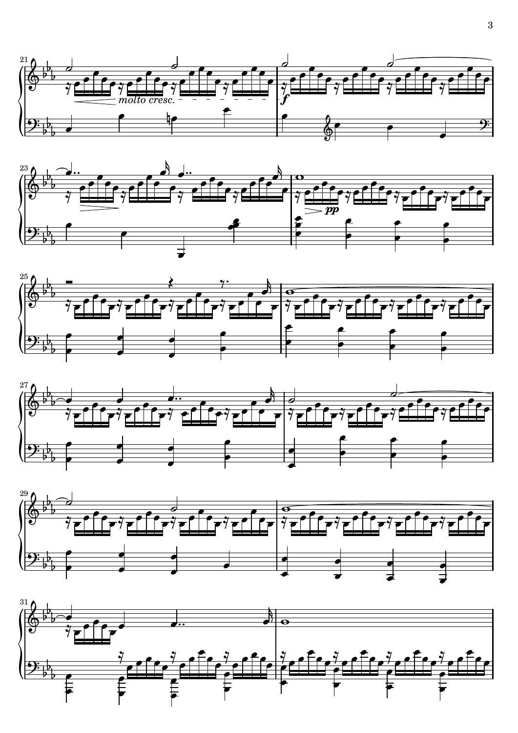









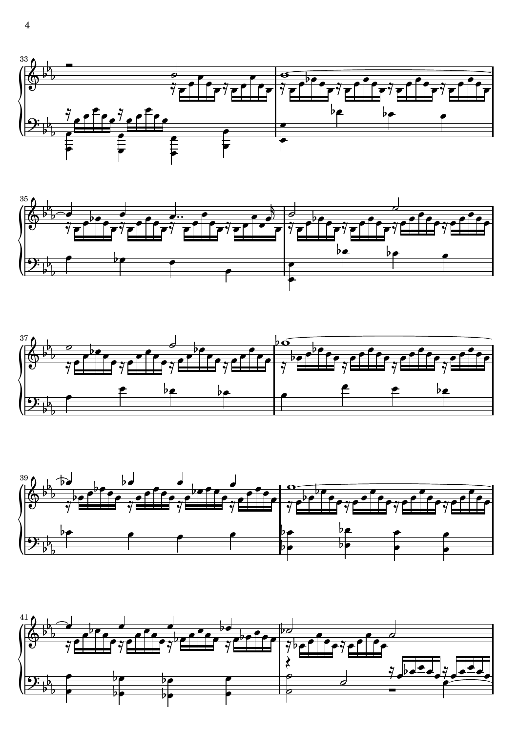







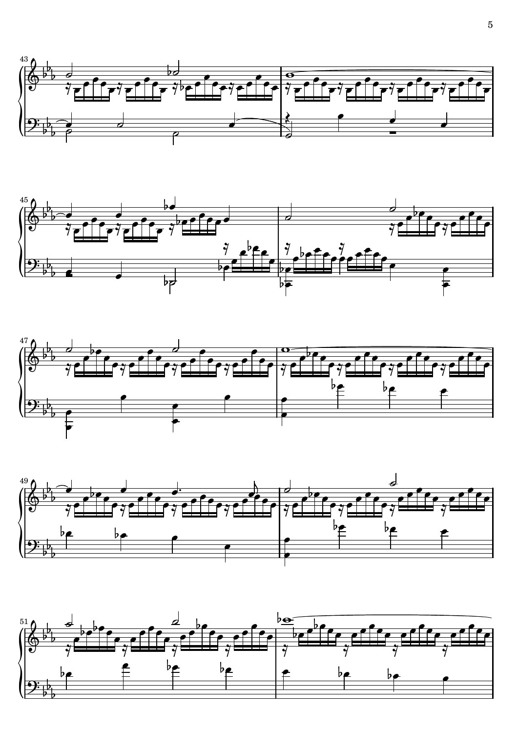







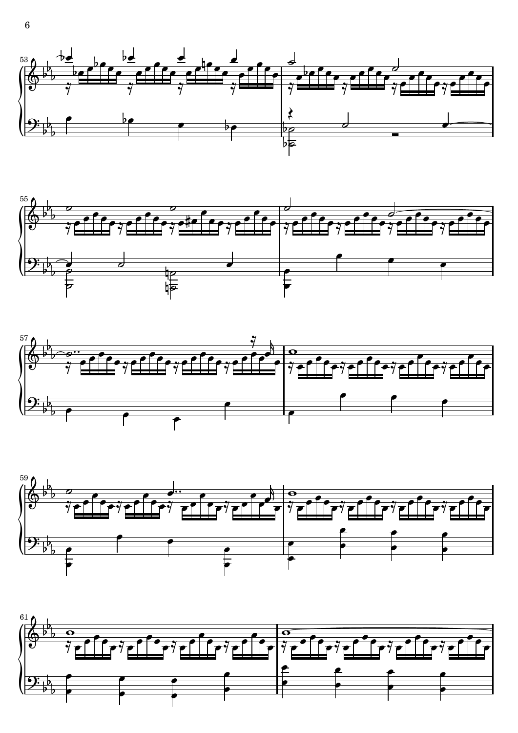